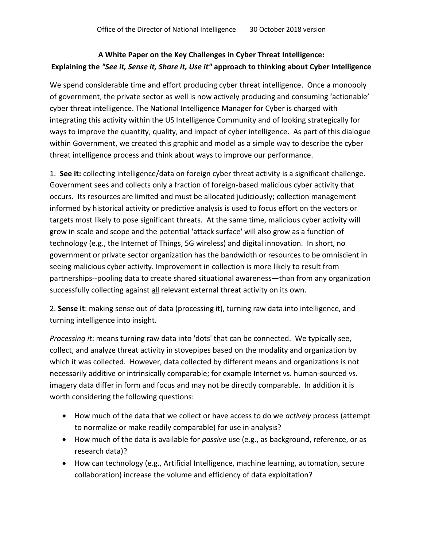## **A White Paper on the Key Challenges in Cyber Threat Intelligence: Explaining the** *"See it, Sense it, Share it, Use it"* **approach to thinking about Cyber Intelligence**

We spend considerable time and effort producing cyber threat intelligence. Once a monopoly of government, the private sector as well is now actively producing and consuming 'actionable' cyber threat intelligence. The National Intelligence Manager for Cyber is charged with integrating this activity within the US Intelligence Community and of looking strategically for ways to improve the quantity, quality, and impact of cyber intelligence. As part of this dialogue within Government, we created this graphic and model as a simple way to describe the cyber threat intelligence process and think about ways to improve our performance.

1. **See it:** collecting intelligence/data on foreign cyber threat activity is a significant challenge. Government sees and collects only a fraction of foreign-based malicious cyber activity that occurs. Its resources are limited and must be allocated judiciously; collection management informed by historical activity or predictive analysis is used to focus effort on the vectors or targets most likely to pose significant threats. At the same time, malicious cyber activity will grow in scale and scope and the potential 'attack surface' will also grow as a function of technology (e.g., the Internet of Things, 5G wireless) and digital innovation. In short, no government or private sector organization has the bandwidth or resources to be omniscient in seeing malicious cyber activity. Improvement in collection is more likely to result from partnerships--pooling data to create shared situational awareness—than from any organization successfully collecting against all relevant external threat activity on its own.

2. **Sense it**: making sense out of data (processing it), turning raw data into intelligence, and turning intelligence into insight.

*Processing it*: means turning raw data into 'dots' that can be connected. We typically see, collect, and analyze threat activity in stovepipes based on the modality and organization by which it was collected. However, data collected by different means and organizations is not necessarily additive or intrinsically comparable; for example Internet vs. human-sourced vs. imagery data differ in form and focus and may not be directly comparable. In addition it is worth considering the following questions:

- How much of the data that we collect or have access to do we *actively* process (attempt to normalize or make readily comparable) for use in analysis?
- How much of the data is available for *passive* use (e.g., as background, reference, or as research data)?
- How can technology (e.g., Artificial Intelligence, machine learning, automation, secure collaboration) increase the volume and efficiency of data exploitation?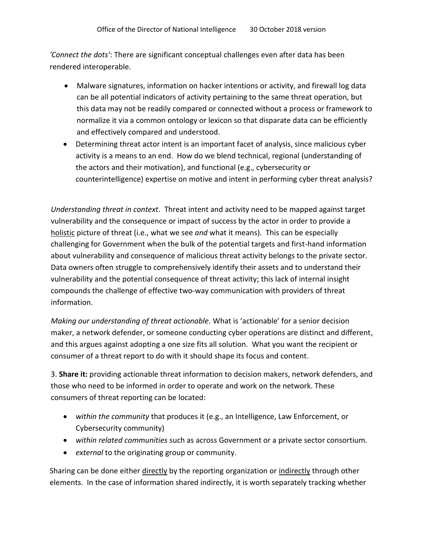*'Connect the dots'*: There are significant conceptual challenges even after data has been rendered interoperable.

- Malware signatures, information on hacker intentions or activity, and firewall log data can be all potential indicators of activity pertaining to the same threat operation, but this data may not be readily compared or connected without a process or framework to normalize it via a common ontology or lexicon so that disparate data can be efficiently and effectively compared and understood.
- Determining threat actor intent is an important facet of analysis, since malicious cyber activity is a means to an end. How do we blend technical, regional (understanding of the actors and their motivation), and functional (e.g., cybersecurity or counterintelligence) expertise on motive and intent in performing cyber threat analysis?

*Understanding threat in context*. Threat intent and activity need to be mapped against target vulnerability and the consequence or impact of success by the actor in order to provide a holistic picture of threat (i.e., what we see *and* what it means). This can be especially challenging for Government when the bulk of the potential targets and first-hand information about vulnerability and consequence of malicious threat activity belongs to the private sector. Data owners often struggle to comprehensively identify their assets and to understand their vulnerability and the potential consequence of threat activity; this lack of internal insight compounds the challenge of effective two-way communication with providers of threat information.

*Making our understanding of threat actionable.* What is 'actionable' for a senior decision maker, a network defender, or someone conducting cyber operations are distinct and different, and this argues against adopting a one size fits all solution. What you want the recipient or consumer of a threat report to do with it should shape its focus and content.

3. **Share it:** providing actionable threat information to decision makers, network defenders, and those who need to be informed in order to operate and work on the network. These consumers of threat reporting can be located:

- *within the community* that produces it (e.g., an Intelligence, Law Enforcement, or Cybersecurity community)
- *within related communities* such as across Government or a private sector consortium.
- *external* to the originating group or community.

Sharing can be done either directly by the reporting organization or indirectly through other elements. In the case of information shared indirectly, it is worth separately tracking whether